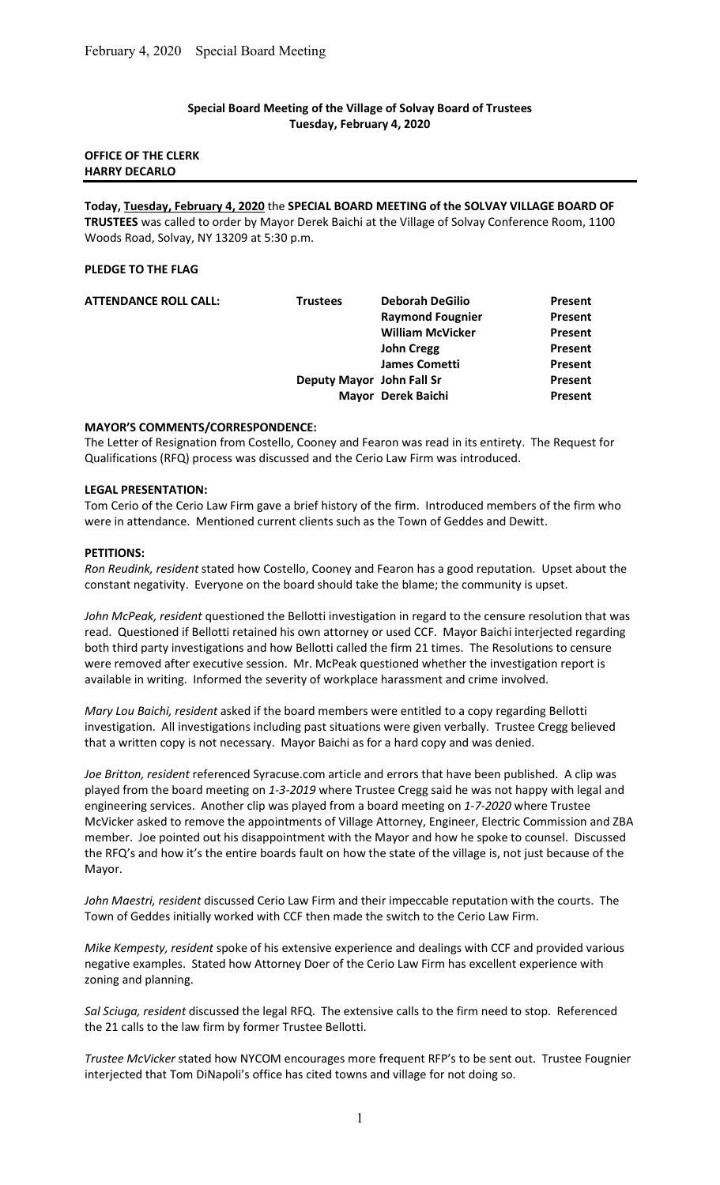#### Special Board Meeting of the Village of Solvay Board of Trustees Tuesday, February 4, 2020

## OFFICE OF THE CLERK HARRY DECARLO

Today, Tuesday, February 4, 2020 the SPECIAL BOARD MEETING of the SOLVAY VILLAGE BOARD OF TRUSTEES was called to order by Mayor Derek Baichi at the Village of Solvay Conference Room, 1100 Woods Road, Solvay, NY 13209 at 5:30 p.m.

## PLEDGE TO THE FLAG

| <b>Trustees</b> | <b>Deborah DeGilio</b>  | Present                                         |
|-----------------|-------------------------|-------------------------------------------------|
|                 | <b>Raymond Fougnier</b> | Present                                         |
|                 | <b>William McVicker</b> | <b>Present</b>                                  |
|                 | <b>John Cregg</b>       | Present                                         |
|                 | <b>James Cometti</b>    | Present                                         |
|                 |                         | Present                                         |
|                 |                         | Present                                         |
|                 |                         | Deputy Mayor John Fall Sr<br>Mayor Derek Baichi |

## MAYOR'S COMMENTS/CORRESPONDENCE:

The Letter of Resignation from Costello, Cooney and Fearon was read in its entirety. The Request for Qualifications (RFQ) process was discussed and the Cerio Law Firm was introduced.

#### LEGAL PRESENTATION:

Tom Cerio of the Cerio Law Firm gave a brief history of the firm. Introduced members of the firm who were in attendance. Mentioned current clients such as the Town of Geddes and Dewitt.

#### PETITIONS:

Ron Reudink, resident stated how Costello, Cooney and Fearon has a good reputation. Upset about the constant negativity. Everyone on the board should take the blame; the community is upset.

John McPeak, resident questioned the Bellotti investigation in regard to the censure resolution that was read. Questioned if Bellotti retained his own attorney or used CCF. Mayor Baichi interjected regarding both third party investigations and how Bellotti called the firm 21 times. The Resolutions to censure were removed after executive session. Mr. McPeak questioned whether the investigation report is available in writing. Informed the severity of workplace harassment and crime involved.

Mary Lou Baichi, resident asked if the board members were entitled to a copy regarding Bellotti investigation. All investigations including past situations were given verbally. Trustee Cregg believed that a written copy is not necessary. Mayor Baichi as for a hard copy and was denied.

Joe Britton, resident referenced Syracuse.com article and errors that have been published. A clip was played from the board meeting on 1-3-2019 where Trustee Cregg said he was not happy with legal and engineering services. Another clip was played from a board meeting on 1-7-2020 where Trustee McVicker asked to remove the appointments of Village Attorney, Engineer, Electric Commission and ZBA member. Joe pointed out his disappointment with the Mayor and how he spoke to counsel. Discussed the RFQ's and how it's the entire boards fault on how the state of the village is, not just because of the Mayor.

John Maestri, resident discussed Cerio Law Firm and their impeccable reputation with the courts. The Town of Geddes initially worked with CCF then made the switch to the Cerio Law Firm.

Mike Kempesty, resident spoke of his extensive experience and dealings with CCF and provided various negative examples. Stated how Attorney Doer of the Cerio Law Firm has excellent experience with zoning and planning.

Sal Sciuga, resident discussed the legal RFQ. The extensive calls to the firm need to stop. Referenced the 21 calls to the law firm by former Trustee Bellotti.

Trustee McVicker stated how NYCOM encourages more frequent RFP's to be sent out. Trustee Fougnier interjected that Tom DiNapoli's office has cited towns and village for not doing so.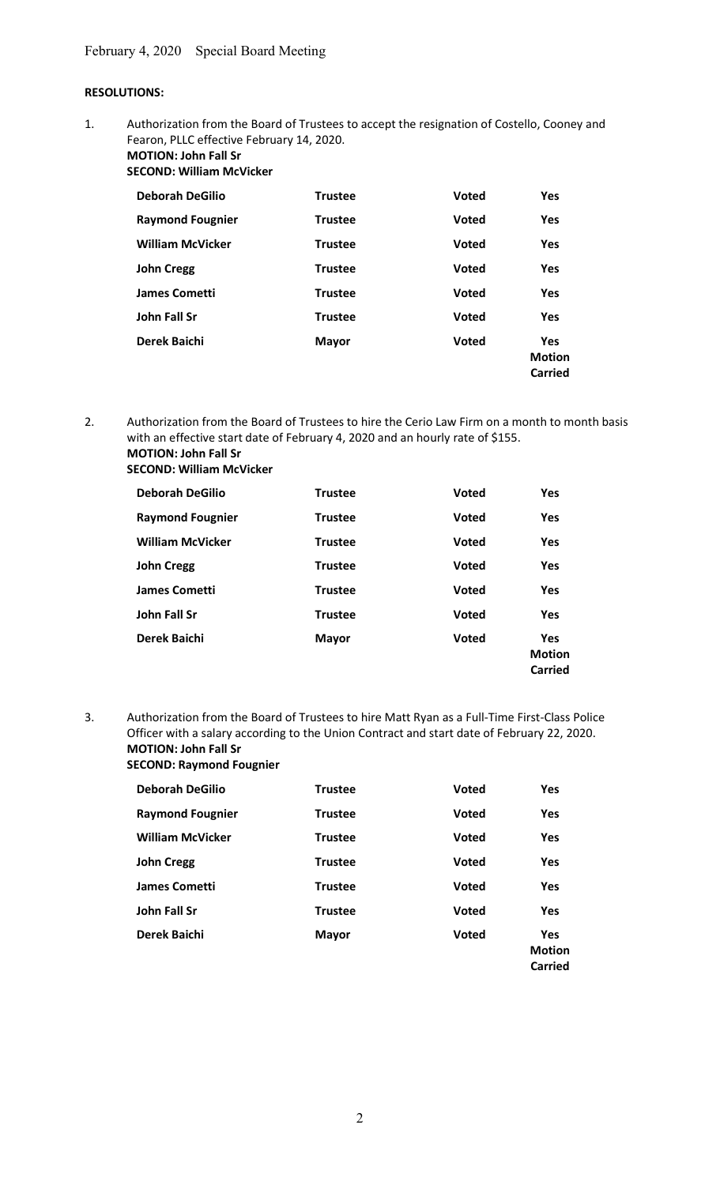# RESOLUTIONS:

1. Authorization from the Board of Trustees to accept the resignation of Costello, Cooney and Fearon, PLLC effective February 14, 2020. MOTION: John Fall Sr

SECOND: William McVicker

| <b>Deborah DeGilio</b>  | <b>Trustee</b> | <b>Voted</b> | Yes                                    |
|-------------------------|----------------|--------------|----------------------------------------|
| <b>Raymond Fougnier</b> | <b>Trustee</b> | <b>Voted</b> | <b>Yes</b>                             |
| <b>William McVicker</b> | <b>Trustee</b> | <b>Voted</b> | Yes                                    |
| <b>John Cregg</b>       | <b>Trustee</b> | <b>Voted</b> | Yes                                    |
| James Cometti           | <b>Trustee</b> | <b>Voted</b> | <b>Yes</b>                             |
| John Fall Sr            | <b>Trustee</b> | <b>Voted</b> | Yes                                    |
| Derek Baichi            | <b>Mayor</b>   | <b>Voted</b> | <b>Yes</b><br><b>Motion</b><br>Carried |

2. Authorization from the Board of Trustees to hire the Cerio Law Firm on a month to month basis with an effective start date of February 4, 2020 and an hourly rate of \$155. MOTION: John Fall Sr

SECOND: William McVicker

| <b>Deborah DeGilio</b>  | <b>Trustee</b> | <b>Voted</b> | Yes                                    |
|-------------------------|----------------|--------------|----------------------------------------|
| <b>Raymond Fougnier</b> | <b>Trustee</b> | <b>Voted</b> | Yes                                    |
| <b>William McVicker</b> | <b>Trustee</b> | <b>Voted</b> | Yes                                    |
| <b>John Cregg</b>       | <b>Trustee</b> | <b>Voted</b> | Yes                                    |
| <b>James Cometti</b>    | <b>Trustee</b> | <b>Voted</b> | <b>Yes</b>                             |
| <b>John Fall Sr</b>     | <b>Trustee</b> | <b>Voted</b> | Yes                                    |
| Derek Baichi            | <b>Mayor</b>   | <b>Voted</b> | <b>Yes</b><br><b>Motion</b><br>Carried |

3. Authorization from the Board of Trustees to hire Matt Ryan as a Full-Time First-Class Police Officer with a salary according to the Union Contract and start date of February 22, 2020. MOTION: John Fall Sr SECOND: Raymond Fougnier

| <b>Deborah DeGilio</b>  | <b>Trustee</b> | <b>Voted</b> | <b>Yes</b>                             |
|-------------------------|----------------|--------------|----------------------------------------|
| <b>Raymond Fougnier</b> | <b>Trustee</b> | <b>Voted</b> | <b>Yes</b>                             |
| <b>William McVicker</b> | <b>Trustee</b> | <b>Voted</b> | <b>Yes</b>                             |
| <b>John Cregg</b>       | <b>Trustee</b> | <b>Voted</b> | <b>Yes</b>                             |
| <b>James Cometti</b>    | <b>Trustee</b> | <b>Voted</b> | <b>Yes</b>                             |
| John Fall Sr            | <b>Trustee</b> | <b>Voted</b> | Yes                                    |
| Derek Baichi            | <b>Mayor</b>   | <b>Voted</b> | <b>Yes</b><br><b>Motion</b><br>Carried |